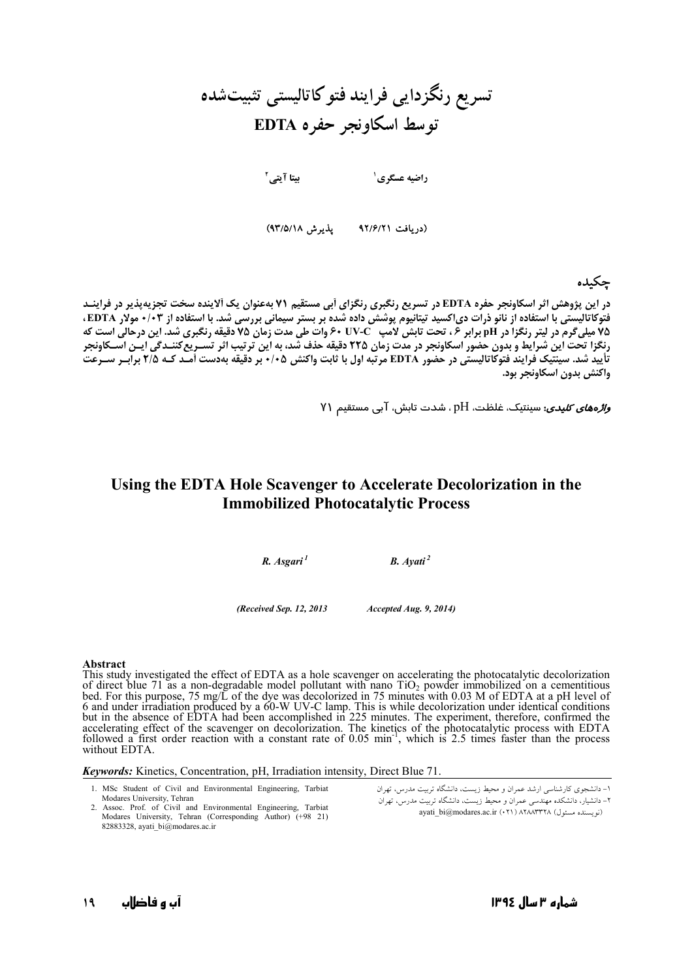# تسریع رنگزدایی فرایند فتو کاتالیستی تثبیتشده **EDTA >8 F9 ;'**

**D \$3 <sup>4</sup> " \$ <sup>8</sup>**

(دریافت ۹۲/۶/۲۱ - پذیرش ۹۳/۵/۱۸)

# جكىدە

**(1 این پژوهش اثر اسکاونجر حفره EDTA در تسریع رنگبری رنگزای آبی مستقیم ۷۱ بهعنوان یک آلاینده سخت تجزیهپذیر در فراینـد** فتوكاتاليستي با استفاده از نانو ذرات دىاكسيد تيتانيوم پوشش داده شده بر بستر سيماني بررسي شد. با استفاده از ۰/۰۳ مولار EDTA، 75 میلیگرم در لیتر رنگزا در pH برابر ۶ ، تحت تابش لامپ UV-C وات طی مدت زمان 75 دقیقه رنگبری شد. این درحالی است که رنگزا تحت این شرایط و بدون حضور اسکاونجر در مدت زمان ۲۲۵ دقیقه حذف شد، به این ترتیب اثر تسـریعکننـدگی ایـن اسـکاونجر تأييد شد. سينتيک فرايند فتوكاتاليستي در حضور EDTA مرتبه اول با ثابت واكنش ۰/۰۵ بر دقيقه بهدست آمـد کـه ٢/۵ برابـر ســرعت واكنش بدون اسكاونجر بود.

 $\gamma$ و*اڑہھای کلیدی*: سینتیک، غلظت،  $\mathrm{H}$ ، شدت تابش، آبی مستقیم Y۱

# **Using the EDTA Hole Scavenger to Accelerate Decolorization in the Immobilized Photocatalytic Process**

*R. Asgari 1 B. Ayati 2*

*(Received Sep. 12, 2013 Accepted Aug. 9, 2014)* 

#### **Abstract**

This study investigated the effect of EDTA as a hole scavenger on accelerating the photocatalytic decolorization of direct blue 71 as a non-degradable model pollutant with nano  $TiO<sub>2</sub>$  powder immobilized on a cementitious bed. For this purpose, 75 mg/L of the dye was decolorized in 75 minutes with 0.03 M of EDTA at a pH level of 6 and under irradiation produced by a 60-W UV-C lamp. This is while decolorization under identical conditions but in the absence of EDTA had been accomplished in 225 minutes. The experiment, therefore, confirmed the accelerating effect of the scavenger on decolorization. The kinetics of the photocatalytic process with EDTA followed a first order reaction with a constant rate of 0.05 min<sup>-1</sup>, which is 2.5 times faster than the process without EDTA.

#### *Keywords:* Kinetics, Concentration, pH, Irradiation intensity, Direct Blue 71.

- 1. MSc Student of Civil and Environmental Engineering, Tarbiat Modares University, Tehran
- 2. Assoc. Prof. of Civil and Environmental Engineering, Tarbiat Modares University, Tehran (Corresponding Author) (+98 21) 82883328, ayati\_bi@modares.ac.ir

۱– دانشجوی کارشناسی ارشد عمران و محیط زیست، دانشگاه تربیت مدرس، تهران ۲– دانشیار، دانشکده مهندسی عمران و محیط زیست، دانشگاه تربیت مدرس، تهران ayati\_bi@modares.ac.ir (• ٢١) ATAATTTA (موسسنة ل)

**19**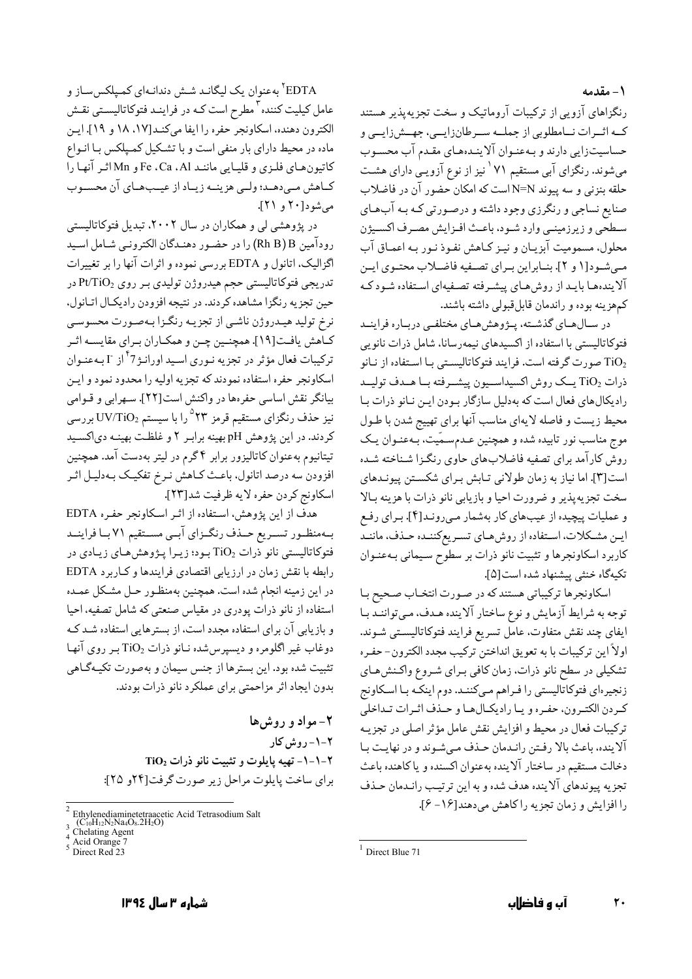١- مقدمه

رنگزاهای آزویی از ترکیبات آروماتیک و سخت تجزیهپذیر هستند كــه اثــرات نــامطلوبي از جملــه ســرطانزايــي، جهــش(ايــي و حساسیتزایی دارند و بهعنـوان آلاینـدههـای مقـدم آب محسـوب میشوند. رنگزای آبی مستقیم ۷۱<sup>٬</sup> نیز از نوع آزویـی دارای هشـت حلقه بنزنی و سه پیوند N=N است که امکان حضور آن در فاضلاب صنايع نساجي و رنگرزي وجود داشته و درصورتي كـه بـه آبهـاي .<br>سـطحي و زيرزمينــي وارد شــود، باعـث افــزايش مصـرف اكســيژن محلول، مسموميت آبزيـان و نيـز كـاهش نفـوذ نـور بـه اعمـاق آب مبي شـود[١ و ٢]. بنــابراين بــراي تصــفيه فاضــلاب محتــوي ايــن آلایندهها بایـد از روشهای پیشـرفته تصـفیهای اسـتفاده شـودكـه كمهزينه بوده و راندمان قابل قبولي داشته باشند.

در سـالهـاي گذشـته، پـژوهش هـاي مختلفـي دربـاره فراينـد فتوکاتالیستی با استفاده از اکسیدهای نیمهرسانا، شامل ذرات نانویی صورت گرفته است. فرایند فتوکاتالیستی با استفاده از نبانو TiO2 ذرات TiO2 يــك روش اكسيداســيون ييشــرفته بــا هــدف توليــد رادیکال های فعال است که بهدلیل سازگار بودن این نانو ذرات با محیط زیست و فاصله لایهای مناسب آنها برای تهییج شدن با طـول موج مناسب نور تابیده شده و همچنین عـدمسـمّیت، بـهعنـوان یـک روش کارآمد برای تصفیه فاضلابهای حاوی رنگـزا شـناخته شـده است[۳]. اما نیاز به زمان طولانی تـابش بـرای شکسـتن پیونـدهای سخت تجزيه پذير و ضرورت احيا و بازيابي نانو ذرات با هزينه بـالا و عملیات پیچیده از عیبهای کار بهشمار میروند[۴]. برای رفع ایـن مشـكلات، اسـتفاده از روشهـاي تسـریعكننـده حـذف، ماننـد كاربرد اسكاونجرها و تثبيت نانو ذرات بر سطوح سيماني بـهعنـوان تكيهگاه خنثى ييشنهاد شده است[۵].

اسکاونجرها ترکیباتی هستند که در صورت انتخـاب صـحیح بـا توجه به شرایط آزمایش و نوع ساختار آلاینده هـدف، مـیتواننـد بـا ايفاي چند نقش متفاوت، عامل تسريع فرايند فتوكاتاليسـتبي شـوند. اولاً اين تركيبات با به تعويق انداختن تركيب مجدد الكترون-حفـره تشکیلی در سطح نانو ذرات، زمان کافی بـرای شـروع واکـنش،ای زنجیرهای فتوکاتالیستی را فـراهم مـیکننـد. دوم اینکـه بـا اسـکاونج كيردن الكتيرون، حفيره و يبا راديكيال هيا و حيذف اثيرات تبداخلي ترکیبات فعال در محیط و افزایش نقش عامل مؤثر اصلی در تجزیـه آلاینده، باعث بالا رفتن رانیدمان حیذف می شوند و در نهایت بیا دخالت مستقیم در ساختار آلاینده بهعنوان اکسنده و یا کاهنده باعث تجزيه پيوندهاي آلاينده هدف شده و به اين ترتيب رانـدمان حـذف را افزایش و زمان تجزیه را کاهش می دهند[۱۶ - ۶].

EDTA<sup>۲</sup> بهعنوان یک لیگانـد شـش دندانـهای کمـپلکسسـاز و عامل کیلیت کننده <sup>۳</sup> مطرح است کـه در فراینـد فتوکاتالیسـتي نقـش الكترون دهنده، اسكاونجر حفره را ايفا مي كنـد[١٧، ١٨ و ١٩]. ايـن ماده در محیط دارای بار منفی است و با تشکیل کمیلکس بـا انـواع کاتیون هـای فلـزی و قلیـایی ماننـد Fe ،Ca ،Al و Mnاثـر آنهـا را كـاهش مـىدهـد؛ ولـى هزينــه زيــاد از عيــبهــاي آن محســوب می شود [۲۰ و ۲۱].

در پژوهشی لی و همکاران در سال ۲۰۰۲، تبدیل فتوکاتالیستی رودآمین Rh B)B) را در حضور دهندگان الکترونمی شامل اسید اگزالیک، اتانول و EDTA بررسی نموده و اثرات آنها را بر تغییرات تدريجي فتوكاتاليستي حجم هيدروژن توليدي بـر روي Pt/TiO2 در حین تجزیه رنگزا مشاهده کردند. در نتیجه افزودن رادیکال اتـانول، نرخ تولید هیـدروژن ناشـي از تجزيـه رنگـزا بـهصـورت محسوسـي \_\_<br>کــاهش یافــت[۱۹]. همچنــین چــن و همکــاران بــرای مقایســه اثــر ترکیبات فعال مؤثر در تجزیه نـوري اسـید اورانـژ<sup>71</sup>از I بـهعنـوان اسكاونجر حفره استفاده نمودند كه تجزيه اوليه را محدود نمود و ايـن بیانگر نقش اساسی حفرهها در واکنش است[۲۲]. سـهرابی و قـوامی نیز حذف رنگزای مستقیم قرمز °۲۲ را با سیستم UV/TiO2 بررسی کردند. در این پژوهش pH بهینه برابر ۲ و غلظت بهینـه دیاکسـید تیتانیوم بهعنوان کاتالیزور برابر ۴ گرم در لیتر بهدست آمد. همچنین افزودن سه درصد اتانول، باعث كـاهش نـرخ تفكيـك بـهدليـل اثـر اسكاونج كردن حفره لايه ظرفيت شد[٢٣].

هدف از این پژوهش، استفاده از اثـر اسکاونجر حفـره EDTA بـهمنظـور تسـريع حــذف رنگــزاي آبــي مســتقيم ٧١بــا فراينــد فتوكاتاليستي نانو ذرات TiO2 بود؛ زيرا يژوهش هاي زيادي در رابطه با نقش زمان در ارزيابي اقتصادي فرايندها وكاربرد EDTA در اين زمينه انجام شده است. همچنين بهمنظـور حـل مشـكل عمـده استفاده از نانو ذرات پودری در مقیاس صنعتی که شامل تصفیه، احیا و بازیابی آن برای استفاده مجدد است، از بسترهایی استفاده شـد کـه دوغاب غیر اگلومره و دیسپرسشده نـانو ذرات TiO2 بـر روی آنهـا تثبیت شده بود. این بسترها از جنس سیمان و بهصورت تکیـهگـاهی بدون ايجاد اثر مزاحمتي براي عملكرد نانو ذرات بودند.

۲- مواد و روش ها ۲-۱- روش کار TiO2 - ۱- تهيه پايلوت و تثبيت نانو ذرات TiO2 براي ساخت پايلوت مراحل زير صورت گرفت[٢٤ و ٢٥]:

 $1$  Direct Blue 71

Ethylenediaminetetraacetic Acid Tetrasodium Salt<br>(C<sub>10</sub>H<sub>12</sub>N<sub>2</sub>N<sub>24</sub>O<sub>8</sub>.2H<sub>2</sub>O)<br>Chelating Agent

 $\frac{4}{5}$  Acid Orange 7<br>Direct Red 23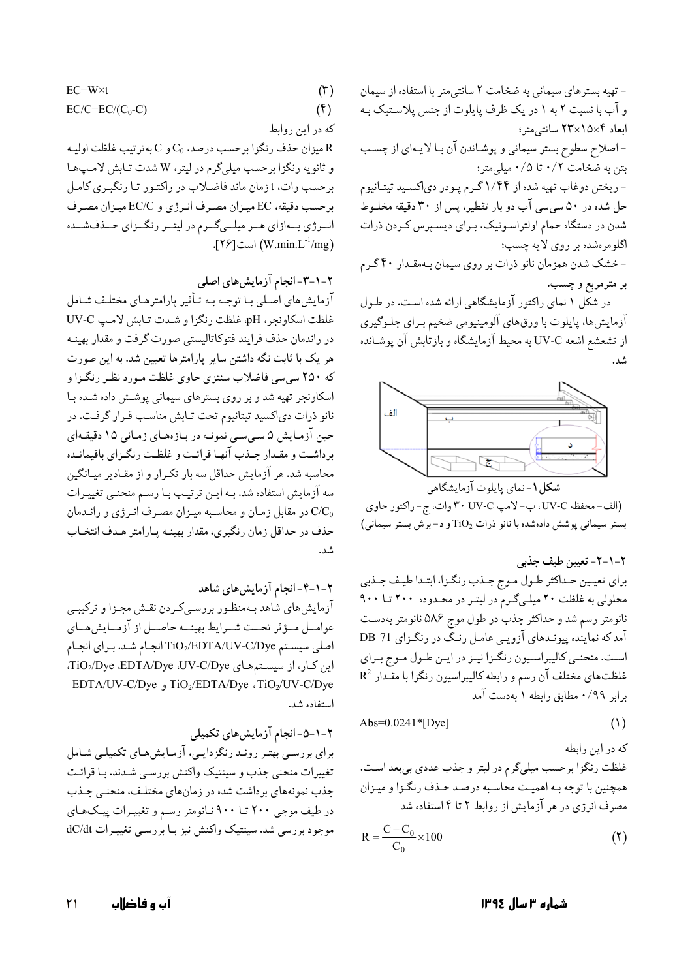$$
EC=W\times t\tag{7}
$$

$$
EC/C=EC/(C_0-C) \tag{6}
$$

که در این روابط

ميزان حذف رنگزا برحسب درصد،  $\rm C_{0}$ و  $\rm C$ بهترتيب غلظت اوليـه R و ثانويه رنگزا برحسب ميليگرم در ليتر، W شدت تـابش لامـپهـا برحسب وات، t زمان ماند فاضلاب در راكتـور تـا رنگبـرى كامـل برحسب دقيقه، EC ميزان مصرف انرژي و EC/C ميزان مصرف انرژی بهازای هر میلیگرم در لیتر رنگزای حـذفشـده (W.min.L<sup>-1</sup>/mg) است[۲۶].

۲–۱–۳–انجام آزمایشهای اصلی

آزمایش،ای اصلی بـا توجـه بـه تـأثیر پارامترهـای مختلـف شـامل غلظت اسكاونجر، pH، غلظت رنگزا و شدت تابش لامپ UV-C در راندمان حذف فرایند فتوکاتالیستی صورت گرفت و مقدار بهینـه هر یک با ثابت نگه داشتن سایر پارامترها تعیین شد. به این صورت که ۲۵۰ سیسی فاضلاب سنتزی حاوی غلظت مـورد نظـر رنگـزا و اسکاونجر تهیه شد و بر روی بسترهای سیمانی پوشش داده شده با نانو ذرات دي اكسيد تيتانيوم تحت تـابش مناسـب قـرار گرفـت. در حین آزمایش ۵ سپیسی نمونـه در بـازههـای زمـانی ۱۵ دقیقـهای برداشت و مقـدار جـذب آنهـا قرائـت و غلظـت رنگـزاي باقيمانـده محاسبه شد. هر آزمایش حداقل سه بار تکرار و از مقـادیر میـانگین سه آزمایش استفاده شد. بـه ایـن ترتیـب بـا رسـم منحنـی تغییـرات C/C در مقابل زمان و محاسبه میـزان مصـرف انـرژى و رانـدمان حذف در حداقل زمان رنگبري، مقدار بهينـه يـارامتر هـدف انتخـاب شد.

٢-١-۴-انجام آزمايش هاى شاهد

آزمایش های شاهد بـهمنظـور بررسـیکـردن نقـش مجـزا و ترکیبـی عوامــل مــؤثر تحــت شــرايط بهينــه حاصــل از آزمــايش هــاي اصلی سیستم TiO2/EDTA/UV-C/Dye انجام شد. برای انجام این کار، از سیستمهای TiO2/Dye ،EDTA/Dye ،UV-C/Dye، EDTA/UV-C/Dye (TiO2/EDTA/Dye ،TiO2/UV-C/Dye استفاده شد.

۲-۱-۵-انجام آزمایشهای تکمیلی

برای بررسـی بهتـر رونـد رنگزدايـی، آزمـايش،اي تكميلـي شـامل تغییرات منحنی جذب و سینتیک واکنش بررسبی شـدند. بـا قرائـت جذب نمونههای برداشت شده در زمانهای مختلف، منحنبی جـذب در طیف موجی ۲۰۰ تا ۹۰۰ نـانومتر رسم و تغییـرات پیـکهـای موجود بررسی شد. سینتیک واکنش نیز بـا بررسـی تغییـرات dC/dt

- تهیه بسترهای سیمانی به ضخامت ۲ سانتی متر با استفاده از سیمان و آب با نسبت ٢ به ١ در يک ظرف پايلوت از جنس پلاستيک بـه ابعاد ۱۵×۲۸×۲۳ سانت<sub>ی</sub>متر؛ - اصلاح سطوح بستر سیمانی و پوشاندن آن با لایمای از چسب بتن به ضخامت ۰/۲ تا ۰/۵ میلی متر؛ - ریختن دوغاب تهیه شده از ۱/۴۴گرم پـودر دیاکسـید تیتـانیوم حل شده در ۵۰ سپیسی آب دو بار تقطیر، پس از ۳۰ دقیقه مخلـوط شدن در دستگاه حمام اولتراسونیک، بـرای دیسـپرس کـردن ذرات اگلومرهشده بر روی لایه چسب؛ - خشک شدن همزمان نانو ذرات بر روی سیمان بـهمقـدار ۴۰ گـرم بر مترمربع و چسب. در شکل ۱ نمای راکتور آزمایشگاهی ارائه شده است. در طول آزمایشها، پایلوت با ورقهای آلومینیومی ضخیم بـرای جلـوگیری از تشعشع اشعه UV-C به محیط آزمایشگاه و بازتابش آن پوشـانده

الف

شکل ۱-نمای پایلوت آزمایشگاهی (الف-محفظه UV-C، ب-لامپ ٣٠ UV-C وات، ج- راكتور حاوي بستر سیمانی پوشش دادهشده با نانو ذرات TiO2 و د-برش بستر سیمانی)

۲–۱–۲– تعیین طیف جذبی براي تعيين حداكثر طول موج جـذب رنگـزا، ابتـدا طيـف جـذبي محلولی به غلظت ۲۰ میلـیگـرم در لیتـر در محـدوده ۲۰۰ تـا ۹۰۰ نانومتر رسم شد و حداکثر جذب در طول موج ۵۸۶ نانومتر بهدست آمد که نماینده پیونـدهای آزویـی عامـل رنـگ در رنگـزای DB 71 است. منحنـي كاليبراسـيون رنگـزا نيـز در ايـن طـول مـوج بـراي  $R^2$  غلظتهای مختلف آن رسم و رابطه کالیبراسیون رنگزا با مقـدار برابر ۰/۹۹ مطابق رابطه ۱ به دست آمد

$$
Abs=0.0241*[Dye]
$$
 (1)

که در این رابطه غلظت رنگزا برحسب میلیگرم در لیتر و جذب عددی بیبعد است. همچنین با توجه بـه اهمیـت محاسـبه درصـد حـذف رنگـزا و میـزان مصرف انرژی در هر آزمایش از روابط ۲ تا ۴ استفاده شد

$$
R = \frac{C - C_0}{C_0} \times 100
$$
 (7)

شماره ۳ سال ۱۳۹٤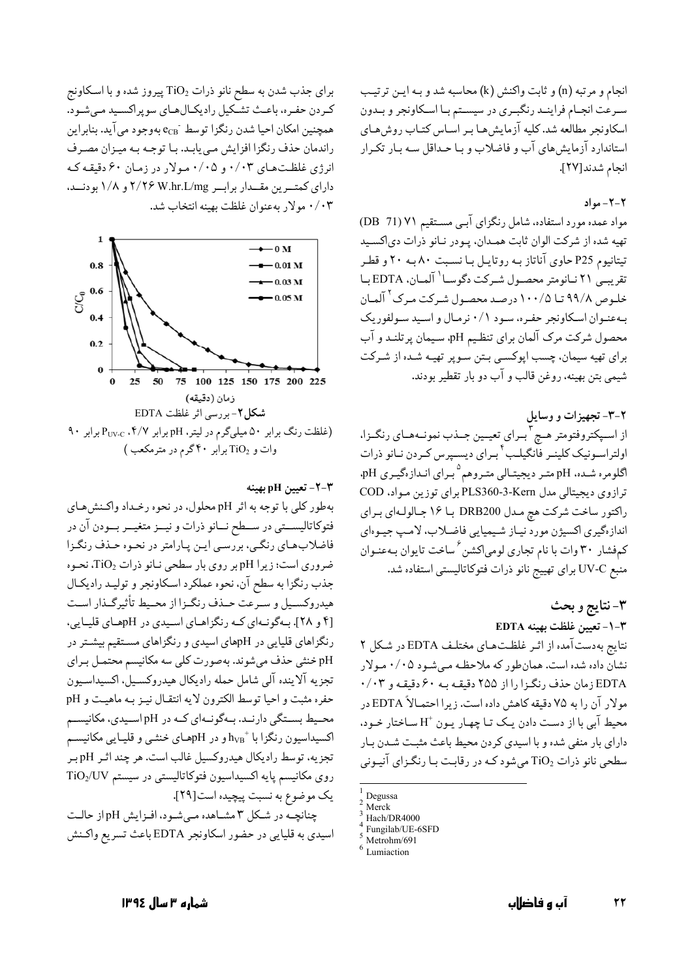انجام و مرتبه (n) و ثابت واكنش (k) محاسبه شد و بـه ايــن ترتيـب سرعت انجـام فراينـد رنگبـري در سيسـتم بـا اسـكاونجر و بـدون اسکاونجر مطالعه شد. کلیه آزمایش هـا بـر اسـاس کتـاب روش هـاي استاندارد آزمایش های آب و فاضلاب و بـا حـداقل سـه بـار تكـرار انجام شدند[٢٧].

### ٢-٢- مواد

مواد عمده مورد استفاده، شامل رنگزای آببی مستقیم ۷۱ (DB) تهیه شده از شرکت الوان ثابت همدان، پـودر نـانو ذرات دي اکسـيد تیتانیوم P25 حاوی آناتاز به روتایـل بـا نسـبت ۸۰ بـه ۲۰ و قطـر تقريبي ٢١ نـانومتر محصـول شـركت دگوسـا ` آلمـان، EDTA بـا خلـوص ۹۹/۸ تـا ۱۰۰/۵ درصـد محصـول شـرکت مـرک <sup>۲</sup> آلمـان به عنـوان اسـكاونجر حفـره، سـود ٠/١ نرمـال و اسـيد سـولفوريك محصول شرکت مرک آلمان برای تنظیم pH، سیمان پرتلنـد و آب برای تهیه سیمان، چسب اپوکسـی بـتن سـوپر تهیـه شـده از شـرکت شيمي بتن بهينه، روغن قالب و آب دو بار تقطير بودند.

۲-۳- تجهیزات و وسایل از اسـپکتروفتومتر هــچ <sup>۲</sup>بــراي تعيــين جــذب نمونــههــاي رنگــزا، اولتراسـونيک کلينـر فانگيلـب<sup>۴</sup> بـراي ديسـپرس کـردن نـانو ذرات اگلومره شـده، pH متـر ديجيتـالي متـروهم <sup>۵</sup>بـراي انـدازهگيـري pH. ترازوي ديجيتالي مدل PLS360-3-Kern براي توزين مـواد. COD راکتور ساخت شرکت هچ مدل DRB200 با ۱۶ جـالولـهاي بـراي اندازهگیری اکسیژن مورد نیـاز شـیمیایی فاضـلاب، لامـپ جیـوهای کمفشار ۳۰ وات با نام تجاری لومیاکشن ٔ ساخت تایوان بـهعنـوان منبع UV-C براي تهييج نانو ذرات فتوكاتاليستي استفاده شد.

> ۳-نتايج و بحث ٣-١- تعيين غلظت بهينه EDTA

نتايج بهدست آمده از اثـر غلظـتهـاى مختلـف EDTA در شكل ٢ نشان داده شده است. همان طور که ملاحظه میشود ۰/۰۵ مولار EDTA زمان حذف رنگزا را از ۲۵۵ دقیقه به ۶۰ دقیقه و ۰/۰۳ مولار آن را به ۷۵ دقیقه کاهش داده است. زیرا احتمـالاً EDTA در محیط آبی با از دست دادن یک تـا چهـار یـون +H سـاختار خـود، دارای بار منفی شده و با اسیدی کردن محیط باعث مثبت شدن بـار سطحی نانو ذرات TiO2 میشود کـه در رقابـت بـا رنگـزای آنيـونی

برای جذب شدن به سطح نانو ذرات TiO2 پیروز شده و با اسکاونج كردن حفره، باعث تشكيل راديكالهاي سوپراكسيد مى شود. همچنین امکان احیا شدن رنگزا توسط ً e<sub>CB</sub> بهوجود می آید. بنابراین راندمان حذف رنگزا افزایش می یابـد. بـا توجـه بـه میـزان مصـرف انرژی غلظتهای ۰/۰۳ و ۰/۰۵ مولار در زمان ۶۰ دقیقه که دارای کمتـرین مقــدار برابــر ۲/۲۶ W.hr.L/mg و ۱/۸ بودنــد، ۰/۰۳ مولار به عنوان غلظت بهينه انتخاب شد.



### ۳-۲- تعیین pH بهینه

بهطور كلي با توجه به اثر pH محلول، در نحوه رخـداد واكـنش هـاي فتوكاتاليســتي در ســطح نــانو ذرات و نيــز متغيــر بــودن آن در فاضلاب های رنگی، بررسی این پارامتر در نحوه حذف رنگزا ضروری است؛ زیرا pH بر روی بار سطحی نـانو ذرات TiO2، نحـوه جذب رنگزا به سطح آن، نحوه عملکرد اسکاونجر و تولیـد رادیکـال هیدروکسـیل و سـرعت حـذف رنگـزا از محـیط تأثیرگـذار اسـت [۴ و ۲۸]. بهگونهای که رنگزاهای اسیدی در pHهای قلیایی، رنگزاهای قلیایی در pHهای اسیدی و رنگزاهای مستقیم بیشتر در pH خنثی حذف میشوند. بهصورت کلی سه مکانیسم محتمـل بـرای تجزيه آلاينده آلي شامل حمله راديكال هيدروكسيل، اكسيداسيون حفره مثبت و احيا توسط الكترون لايه انتقـال نيـز بـه ماهيـت و pH محـیط بسـتگی دارنـد. بـهگونـهای کـه در pH اسـیدی، مکانیسـم اکسیداسیون رنگزا با  $\rm{h_{VB}}^+$ و در pHهـای خنثـی و قلیـایی مکانیسـم تجزيه، توسط راديكال هيدروكسيل غالب است. هر چند اثـر pH بـر روی مکانیسم پایه اکسیداسیون فتوکاتالیستی در سیستم TiO2/UV يک موضوع به نسبت پيچيده است[٢٩].

چنانچه در شکل ۳ مشاهده میشود، افزایش pH از حالت اسیدي به قلیایي در حضور اسکاونجر EDTA باعث تسریع واکـنش

شماره ۳ سال ۱۳۹٤

Degussa

Merck

Hach/DR4000

Fungilab/UE-6SFD Metrohm/691

Lumiaction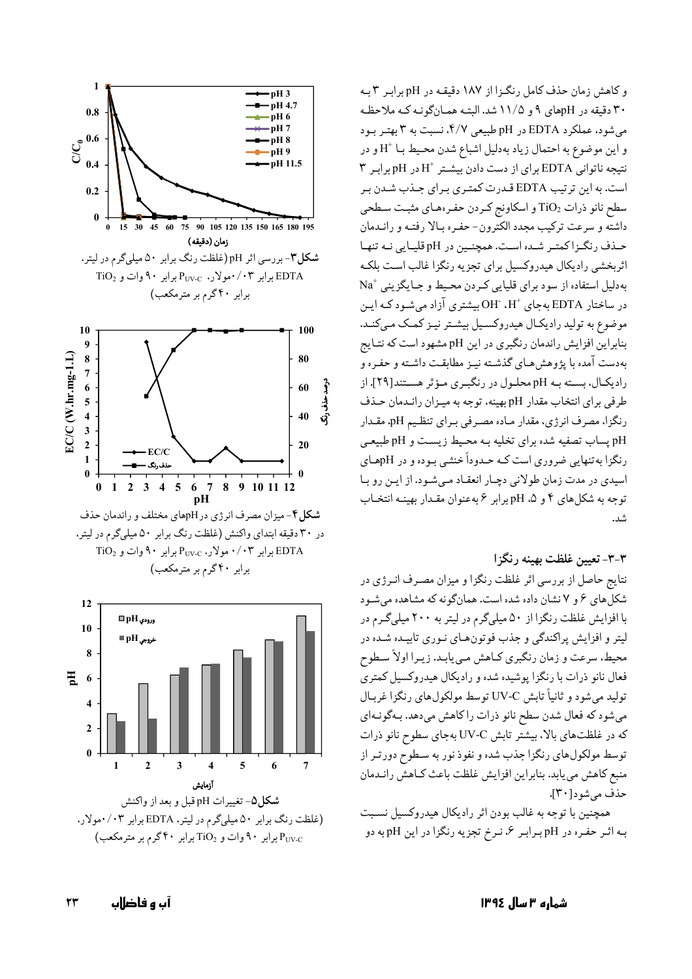و کاهش زمان حذف کامل رنگزا از ۱۸۷ دقیقـه در pH برابـر ۳ بـه ۳۰ دقیقه در pHهای ۹ و ۱۱/۵ شد. البتـه همـانگونـه کـه ملاحظـه میشود، عملکرد EDTA در pH طبیعی ۴/۷، نسبت به ۳ بهتر بود و اين موضوع به احتمال زياد بهدليل اشباع شدن محيط بـا  $\mathrm{H}^+$ و در نتيجه ناتواني EDTA براي از دست دادن بيشـتر  $H^+$ در pH برابر ٣ است. به این ترتیب EDTA قـدرت کمتـری بـرای جـذب شـدن بـر سطح نانو ذرات TiO2 و اسکاونج کردن حفرههای مثبت سطحی داشته و سرعت تركيب مجدد الكترون- حفـره بـالا رفتـه و رانـدمان حـذف رنگـزاكمتـر شـده اسـت. همچنـين در pH قليـايي نـه تنهـا اثربخشي راديكال هيدروكسيل براي تجزيه رنگزا غالب است بلكه بهدلیل استفاده از سود برای قلیایی کردن محیط و جایگزینی  $\mathrm{Na}^{+}$ در ساختار EDTA بهجای +H، OH، بیشتری آزاد میشود کـه ایـن موضوع به تولید رادیکـال هیدروکسـیل بیشـتر نیـز کمـک مـیکنـد. بنابراین افزایش راندمان رنگبری در این pH مشهود است که نتـایج بهدست آمده با یژوهش هـای گذشـته نیـز مطابقـت داشـته و حفـره و رادیکـال، بسـته بـه pH محلـول در رنگبـری مـؤثر هسـتند[۲۹]. از طرفي براي انتخاب مقدار pH بهينه، توجه به ميـزان رانـدمان حـذف رنگزا، مصرف انرژی، مقدار مـاده مصـرفی بـرای تنظـیم pH، مقـدار pH پساب تصفیه شده برای تخلیه بـه محـیط زیسـت و pH طبیعـی رنگزا به تنهایی ضروری است کـه حـدوداً خنثـی بـوده و در pHهـای اسیدی در مدت زمان طولانی دچار انعقاد میشود. از این رو با توجه به شكلهاي ۴ و ۵. pH برابر ۶ به عنوان مقدار بهينـه انتخـاب شد.

## ۳-۳- تعیین غلظت بهینه رنگزا

نتایج حاصل از بررسی اثر غلظت رنگزا و میزان مصرف انـرژی در شکل های ۶ و ۷ نشان داده شده است. همانگونه که مشاهده می شود با افزایش غلظت رنگزا از ۵۰ میلیگرم در لیتر به ۲۰۰ میلیگرم در لیتر و افزایش پراکندگی و جذب فوتونهای نـوری تابیـده شـده در محیط، سرعت و زمان رنگبری کـاهش مـيbيابـد. زيـرا اولاً سـطوح فعال نانو ذرات با رنگزا پوشیده شده و رادیکال هیدروکسیل کمتری توليد مي شود و ثانياً تابش UV-C توسط مولكولهاي رنگزا غربـال میشود که فعال شدن سطح نانو ذرات را کاهش میدهد. بـهگونـهای که در غلظتهای بالا، بیشتر تابش UV-C بهجای سطوح نانو ذرات توسط مولکولهای رنگزا جذب شده و نفوذ نور به سطوح دورتـر از منبع كاهش مىيابد. بنابراين افزايش غلظت باعث كـاهش رانـدمان حذف مي شو د [٣٠].

همچنین با توجه به غالب بودن اثر رادیکال هیدروکسیل نسبت به اثر حفره در pH برابر ۶، نرخ تجزیه رنگزا در این pH به دو



شکل۵- تغییرات pH قبل و بعد از واکنش (غلظت رنگ برابر ۵۰ میلیگرم در لیتر، EDTA برابر ۰/۰۳مولار، PUV-C برابر ۹۰ وات و TiO2 برابر ۴۰ گرم بر مترمکعب)

شماره ۳ سال ۱۳۹٤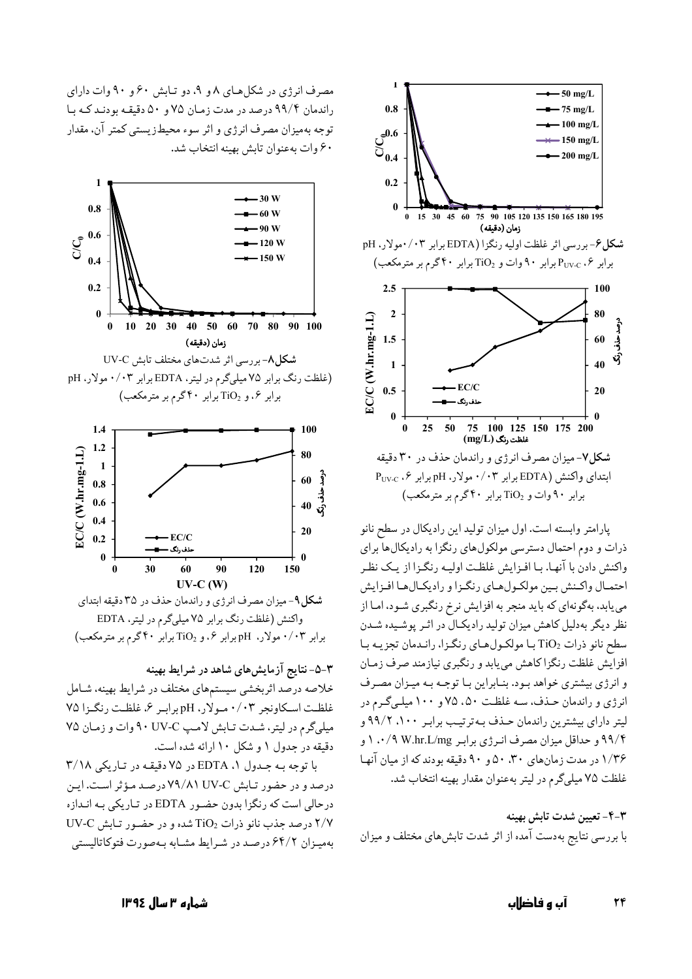

یارامتر وابسته است. اول میزان تولید این رادیکال در سطح نانو ذرات و دوم احتمال دسترسی مولکولهای رنگزا به رادیکالها برای واكنش دادن با آنهـا. بـا افـزايش غلظـت اوليـه رنگـزا از يـك نظـر احتمـال واكـنش بـين مولكـولهـاي رنگـزا و راديكـالهـا افـزايش می پابد، بهگونهای که باید منجر به افزایش نرخ رنگبری شـود، امـا از نظر ديگر بهدليل كاهش ميزان توليد راديكـال در اثـر يوشـيده شـدن سطح نانو ذرات TiO2 با مولكول هاي رنگزا، راندمان تجزيـه با افزایش غلظت رنگزا کاهش می یابد و رنگبری نیازمند صرف زمان و انرژی بیشتری خواهد بود. بنـابراین بـا توجـه بـه میـزان مصـرف انرژی و راندمان حـذف، سـه غلظـت ۵۰، ۷۵ و ۱۰۰ میلـیگـرم در ليتر داراي بيشترين راندمان حـذف بـه ترتيـب برابـر ٠٠، ٩٩/٢ و ۹۹/۴ و حداقل میزان مصرف انرژی برابر ۱۰/۹ W.hr.L/mg ب ۱/۳۶ در مدت زمان های ۳۰، ۵۰ و ۹۰ دقیقه بودند که از میان آنها غلظت ۷۵ میلیگرم در لیتر بهعنوان مقدار بهینه انتخاب شد.

٣-۴- تعيين شدت تابش بهينه با بررسی نتایج بهدست آمده از اثر شدت تابش های مختلف و میزان

مصرف انرژی در شکل هـای ۸ و ۹، دو تـابش ۶۰ و ۹۰ وات دارای راندمان ۹۹/۴ درصد در مدت زمان ۷۵ و ۵۰ دقیقه بودند که با توجه بهمیزان مصرف انرژی و اثر سوء محیطزیستی کمتر آن، مقدار ۶۰ وات به عنوان تابش بهينه انتخاب شد.



برابر ۰/۰۳ مولار. pH برابر ۶.و TiO2 برابر ۴۰گرم بر مترمکعب)

۳-۵-نتایج آزمایشهای شاهد در شرایط بهینه خلاصه درصد اثربخشي سيستمهاي مختلف در شرايط بهينه، شـامل غلظت اسكاونجر ۰/۰۳ مولار، pH برابر ۶، غلظت رنگزا ۷۵ میلیگرم در لیتر، شدت تابش لامپ A۰ UV-C وات و زمان ۷۵ دقیقه در حدول ۱ و شکل ۱۰ ارائه شده است.

با توجه بـه جـدول 1، EDTA در ۷۵ دقیقـه در تـاریکی ۳/۱۸ درصد و در حضور تابش ۷۹/۸۱ UV-C درصد مؤثر است. این درحالي است كه رنگزا بدون حضور EDTA در تاريكي به اندازه UV-C درصد جذب نانو ذرات TiO2 شده و در حضور تابش UV-C بهمیزان ۶۴/۲ درصد در شرایط مشابه بهصورت فتوكاتالیستي

شمارہ ۳ سال ۱۳۹٤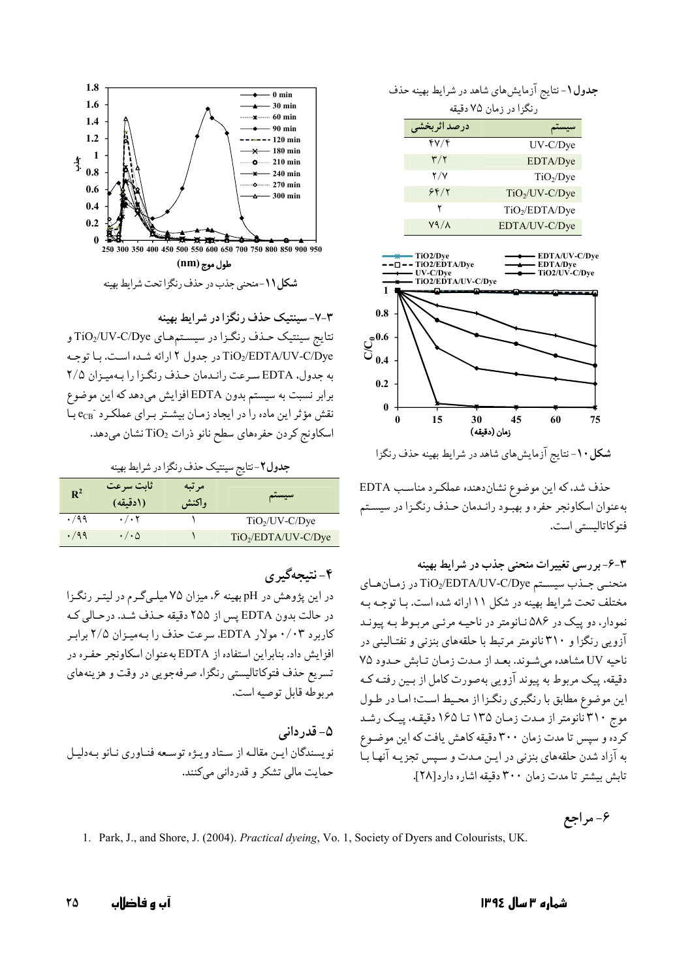جدول ۱- نتایج آزمایش های شاهد در شرایط بهینه حذف رنگزا در زمان ۷۵ دقیقه

| درصد اثربخشي            |                            |
|-------------------------|----------------------------|
| ۴۷/۴                    | $UV-C/Dye$                 |
| $\mathbf{r}/\mathbf{r}$ | EDTA/Dye                   |
| 7 / V                   | TiO <sub>2</sub> /Dve      |
| ۶۴/۲                    | $TiO2/UV-C/Dye$            |
|                         | TiO <sub>2</sub> /EDTA/Dye |
| V9 / A                  | $FDTA/IN\_C/Div_{P}$       |



شکل ۱۰-نتایج آزمایش های شاهد در شرایط بهینه حذف رنگزا

حذف شد، كه اين موضوع نشان دهنده عملكرد مناسب EDTA بهعنوان اسكاونجر حفره و بهبود رانـدمان حـذف رنگـزا در سيسـتم فتوكاتاليستي است.

۴-۶- بررسی تغییرات منحنی جذب در شرایط بهینه منحنبي جـذب سيسـتم TiO2/EDTA/UV-C/Dye در زمـان هـاي مختلف تحت شرایط بهینه در شکل ۱۱ ارائه شده است. بـا توجـه بـه نمودار، دو پیک در ۵۸۶ نیانومتر در ناحیـه مرئـی مربـوط بـه پیونـد آزویی رنگزا و ۳۱۰ نانومتر مرتبط با حلقههای بنزنی و نفتـالینی در ناحيه UV مشاهده مي شوند. بعد از مدت زمان تابش حدود ٧٥ دقیقه، پیک مربوط به پیوند آزویی بهصورت کامل از بـین رفتـه کـه این موضوع مطابق با رنگبری رنگزا از محیط است؛ اما در طول موج ۳۱۰ نانومتر از مدت زمان ۱۳۵ تا ۱۶۵ دقیقه، پیک رشد کرده و سپس تا مدت زمان ۳۰۰ دقیقه کاهش یافت که این موضـوع به آزاد شدن حلقههای بنزنی در ایـن مـدت و سـیس تجزیـه آنهـا بـا تابش بیشتر تا مدت زمان ۳۰۰ دقیقه اشاره دار د[۲۸].

۶- مراجع

1. Park, J., and Shore, J. (2004). Practical dyeing, Vo. 1, Society of Dyers and Colourists, UK.



۳-۷-سینتیک حذف رنگزا در شرایط بهینه نتايج سينتيک حـذف رنگـزا در سيسـتمهـاي TiO2/UV-C/Dye و TiO2/EDTA/UV-C/Dye در جدول ٢ ارائه شده است. با توجه به جدول، EDTA سه عت رانیدمان حیذف رنگیزا را بیهمییزان ۲/۵ برابر نسبت به سیستم بدون EDTA افزایش میدهد که این موضوع نقش مؤثر این ماده را در ایجاد زمـان بیشـتر بـرای عملكـرد <sup>-</sup>ecB بـا اسکاونج کردن حفرههای سطح نانو ذرات TiO2 نشان میدهد.

جدول ۲-نتايج سينتيک حذف رنگزا در شرايط بهينه

| $R^2$ | أثابت سرعت<br>(ادقيقه) | مر تبه<br>واكنش | سيستم                           |
|-------|------------------------|-----------------|---------------------------------|
| .799  | $\cdot/\cdot$ $\cdot$  |                 | $TiO2/UV-C/Dye$                 |
| .799  | $\cdot/\cdot$ $\Delta$ |                 | TiO <sub>2</sub> /EDTA/UV-C/Dye |

# ۴-نتىجەگىرى

در این پژوهش در pH بهینه ۶، میزان ۷۵ میلهگرم در لیتـر رنگـزا در حالت بدون EDTA پس از ۲۵۵ دقیقه حـذف شـد. درحـالی کـه کاربرد ۰/۰۳ مولار EDTA، سرعت حذف را به میزان ۲/۵ برابر افزايش داد. بنابراين استفاده از EDTA به عنوان اسكاونجر حفـره در تسریع حذف فتوکاتالیستی رنگزا، صرفهجویی در وقت و هزینههای مربوطه قابل توصيه است.

۵- قدر دانی نو پسندگان این مقالـه از سـتاد ویـژه توسـعه فنـاوری نـانو بـهدلیـل حمایت مالی تشکر و قدردانی مے کنند.

آں ہ فاضااں ٢٥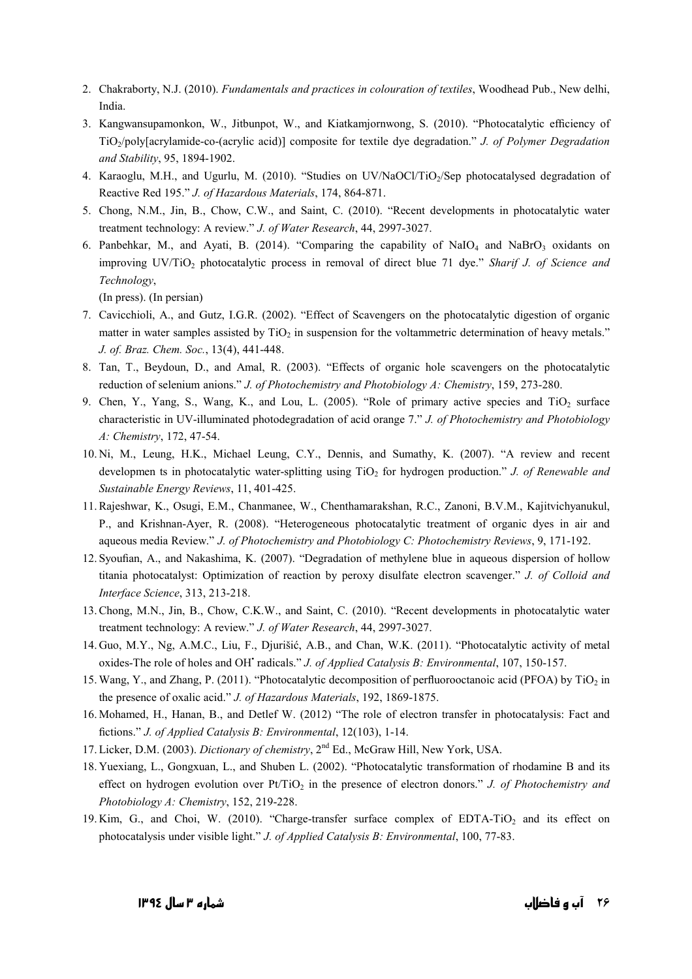- 2. Chakraborty, N.J. (2010). *Fundamentals and practices in colouration of textiles*, Woodhead Pub., New delhi, India.
- 3. Kangwansupamonkon, W., Jitbunpot, W., and Kiatkamiornwong, S. (2010). "Photocatalytic efficiency of TiO2/poly[acrylamide-co-(acrylic acid)] composite for textile dye degradation." *J. of Polymer Degradation and Stability*, 95, 1894-1902.
- 4. Karaoglu, M.H., and Ugurlu, M. (2010). "Studies on UV/NaOCl/TiO<sub>2</sub>/Sep photocatalysed degradation of Reactive Red 195." *J. of Hazardous Materials*, 174, 864-871.
- 5. Chong, N.M., Jin, B., Chow, C.W., and Saint, C. (2010). "Recent developments in photocatalytic water treatment technology: A review." *J. of Water Research*, 44, 2997-3027.
- 6. Panbehkar, M., and Ayati, B. (2014). "Comparing the capability of NaIO<sub>4</sub> and NaBrO<sub>3</sub> oxidants on improving UV/TiO<sub>2</sub> photocatalytic process in removal of direct blue 71 dye." *Sharif J. of Science and Technology*,

(In press). (In persian)

- 7. Cavicchioli, A., and Gutz, I.G.R. (2002). "Effect of Scavengers on the photocatalytic digestion of organic matter in water samples assisted by  $TiO<sub>2</sub>$  in suspension for the voltammetric determination of heavy metals." *J. of. Braz. Chem. Soc.*, 13(4), 441-448.
- 8. Tan, T., Beydoun, D., and Amal, R. (2003). "Effects of organic hole scavengers on the photocatalytic reduction of selenium anions." *J. of Photochemistry and Photobiology A: Chemistry*, 159, 273-280.
- 9. Chen, Y., Yang, S., Wang, K., and Lou, L. (2005). "Role of primary active species and TiO<sub>2</sub> surface characteristic in UV-illuminated photodegradation of acid orange 7." *J. of Photochemistry and Photobiology A: Chemistry*, 172, 47-54.
- 10. Ni, M., Leung, H.K., Michael Leung, C.Y., Dennis, and Sumathy, K. (2007). "A review and recent developmen ts in photocatalytic water-splitting using TiO<sub>2</sub> for hydrogen production." *J. of Renewable and Sustainable Energy Reviews*, 11, 401-425.
- 11.Rajeshwar, K., Osugi, E.M., Chanmanee, W., Chenthamarakshan, R.C., Zanoni, B.V.M., Kajitvichyanukul, P., and Krishnan-Ayer, R. (2008). "Heterogeneous photocatalytic treatment of organic dyes in air and aqueous media Review." *J. of Photochemistry and Photobiology C: Photochemistry Reviews*, 9, 171-192.
- 12. Syoufian, A., and Nakashima, K. (2007). "Degradation of methylene blue in aqueous dispersion of hollow titania photocatalyst: Optimization of reaction by peroxy disulfate electron scavenger." *J. of Colloid and Interface Science*, 313, 213-218.
- 13.Chong, M.N., Jin, B., Chow, C.K.W., and Saint, C. (2010). "Recent developments in photocatalytic water treatment technology: A review." *J. of Water Research*, 44, 2997-3027.
- 14. Guo, M.Y., Ng, A.M.C., Liu, F., Djurišić, A.B., and Chan, W.K. (2011). "Photocatalytic activity of metal oxides-The role of holes and OH• radicals." *J. of Applied Catalysis B: Environmental*, 107, 150-157.
- 15. Wang, Y., and Zhang, P. (2011). "Photocatalytic decomposition of perfluorooctanoic acid (PFOA) by TiO<sub>2</sub> in the presence of oxalic acid." *J. of Hazardous Materials*, 192, 1869-1875.
- 16. Mohamed, H., Hanan, B., and Detlef W. (2012) "The role of electron transfer in photocatalysis: Fact and fictions." *J. of Applied Catalysis B: Environmental*, 12(103), 1-14.
- 17. Licker, D.M. (2003). *Dictionary of chemistry*, 2nd Ed., McGraw Hill, New York, USA.
- 18. Yuexiang, L., Gongxuan, L., and Shuben L. (2002). "Photocatalytic transformation of rhodamine B and its effect on hydrogen evolution over Pt/TiO<sub>2</sub> in the presence of electron donors." *J. of Photochemistry and Photobiology A: Chemistry*, 152, 219-228.
- 19. Kim, G., and Choi, W. (2010). "Charge-transfer surface complex of EDTA-TiO<sub>2</sub> and its effect on photocatalysis under visible light." *J. of Applied Catalysis B: Environmental*, 100, 77-83.

۲۶ آ**ب و فاضل**اب